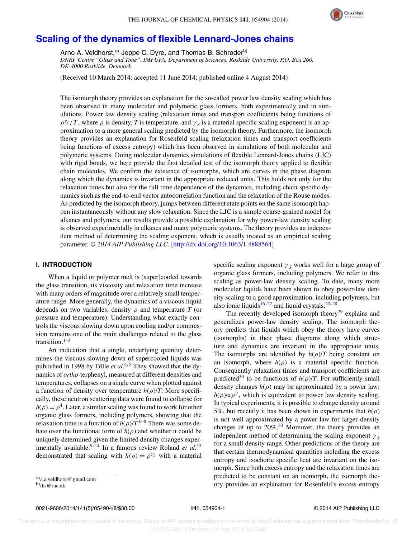

# **[Scaling of the dynamics of flexible Lennard-Jones chains](http://dx.doi.org/10.1063/1.4888564)**

Arno A. Veldhorst,<sup>[a\)](#page-0-0)</sup> Jeppe C. Dyre, and Thomas B. Schrøder<sup>[b\)](#page-0-1)</sup> *DNRF Centre "Glass and Time", IMFUFA, Department of Sciences, Roskilde University, P.O. Box 260, DK-4000 Roskilde, Denmark*

(Received 10 March 2014; accepted 11 June 2014; published online 4 August 2014)

The isomorph theory provides an explanation for the so-called power law density scaling which has been observed in many molecular and polymeric glass formers, both experimentally and in simulations. Power law density scaling (relaxation times and transport coefficients being functions of  $\rho^{\gamma_s}/T$ , where  $\rho$  is density, *T* is temperature, and  $\gamma_s$  is a material specific scaling exponent) is an approximation to a more general scaling predicted by the isomorph theory. Furthermore, the isomorph theory provides an explanation for Rosenfeld scaling (relaxation times and transport coefficients being functions of excess entropy) which has been observed in simulations of both molecular and polymeric systems. Doing molecular dynamics simulations of flexible Lennard-Jones chains (LJC) with rigid bonds, we here provide the first detailed test of the isomorph theory applied to flexible chain molecules. We confirm the existence of isomorphs, which are curves in the phase diagram along which the dynamics is invariant in the appropriate reduced units. This holds not only for the relaxation times but also for the full time dependence of the dynamics, including chain specific dynamics such as the end-to-end vector autocorrelation function and the relaxation of the Rouse modes. As predicted by the isomorph theory, jumps between different state points on the same isomorph happen instantaneously without any slow relaxation. Since the LJC is a simple coarse-grained model for alkanes and polymers, our results provide a possible explanation for why power-law density scaling is observed experimentally in alkanes and many polymeric systems. The theory provides an independent method of determining the scaling exponent, which is usually treated as an empirical scaling parameter. *© 2014 AIP Publishing LLC*. [\[http://dx.doi.org/10.1063/1.4888564\]](http://dx.doi.org/10.1063/1.4888564)

# **I. INTRODUCTION**

When a liquid or polymer melt is (super)cooled towards the glass transition, its viscosity and relaxation time increase with many orders of magnitude over a relatively small temperature range. More generally, the dynamics of a viscous liquid depends on two variables, density *ρ* and temperature *T* (or pressure and temperature). Understanding what exactly controls the viscous slowing down upon cooling and/or compression remains one of the main challenges related to the glass transition. $1-3$  $1-3$ 

An indication that a single, underlying quantity determines the viscous slowing down of supercooled liquids was published in 1998 by Tölle *et al.*<sup>[4,](#page-6-2)[5](#page-6-3)</sup> They showed that the dynamics of *ortho*-terphenyl, measured at different densities and temperatures, collapses on a single curve when plotted against a function of density over temperature *h*(*ρ*)/*T*. More specifically, these neutron scattering data were found to collapse for  $h(\rho) = \rho^4$ . Later, a similar scaling was found to work for other organic glass formers, including polymers, showing that the relaxation time is a function of  $h(\rho)/T$ .<sup>[6](#page-6-4)[–8](#page-7-0)</sup> There was some debate over the functional form of  $h(\rho)$  and whether it could be uniquely determined given the limited density changes exper-imentally available.<sup>9–[14](#page-7-2)</sup> In a famous review Roland *et al.*<sup>[15](#page-7-3)</sup> demonstrated that scaling with  $h(\rho) = \rho^{\gamma_s}$  with a material specific scaling exponent  $\gamma_s$  works well for a large group of organic glass formers, including polymers. We refer to this scaling as power-law density scaling. To date, many more molecular liquids have been shown to obey power-law density scaling to a good approximation, including polymers, but also ionic liquids<sup>[16–](#page-7-4)[22](#page-7-5)</sup> and liquid crystals.<sup>23–[28](#page-7-7)</sup>

The recently developed isomorph theory<sup>29</sup> explains and generalizes power-law density scaling. The isomorph theory predicts that liquids which obey the theory have curves (isomorphs) in their phase diagrams along which structure and dynamics are invariant in the appropriate units. The isomorphs are identified by  $h(\rho)/T$  being constant on an isomorph, where  $h(\rho)$  is a material specific function. Consequently relaxation times and transport coefficients are predicted<sup>30</sup> to be functions of  $h(\rho)/T$ . For sufficiently small density changes  $h(\rho)$  may be approximated by a power law:  $h(\rho) \propto \rho^{\gamma}$ , which is equivalent to power law density scaling. In typical experiments, it is possible to change density around 5%, but recently it has been shown in experiments that  $h(\rho)$ is not well approximated by a power law for larger density changes of up to  $20\%$ .<sup>30</sup> Moreover, the theory provides an independent method of determining the scaling exponent  $\gamma_s$ for a small density range. Other predictions of the theory are that certain thermodynamical quantities including the excess entropy and isochoric specific heat are invariant on the isomorph. Since both excess entropy and the relaxation times are predicted to be constant on an isomorph, the isomorph theory provides an explanation for Rosenfeld's excess entropy

<span id="page-0-0"></span>a[\)a.a.veldhorst@gmail.com](mailto: a.a.veldhorst@gmail.com)

<span id="page-0-1"></span>b[\)tbs@ruc.dk](mailto: tbs@ruc.dk)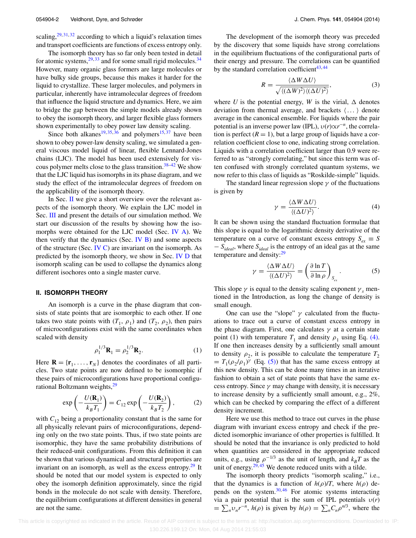scaling, $29,31,32$  $29,31,32$  $29,31,32$  according to which a liquid's relaxation times and transport coefficients are functions of excess entropy only.

The isomorph theory has so far only been tested in detail for atomic systems,  $29,33$  $29,33$  and for some small rigid molecules.  $34$ However, many organic glass formers are large molecules or have bulky side groups, because this makes it harder for the liquid to crystallize. These larger molecules, and polymers in particular, inherently have intramolecular degrees of freedom that influence the liquid structure and dynamics. Here, we aim to bridge the gap between the simple models already shown to obey the isomorph theory, and larger flexible glass formers shown experimentally to obey power law density scaling.

Since both alkanes<sup>[19,](#page-7-14) [35,](#page-7-15) [36](#page-7-16)</sup> and polymers<sup>[15,](#page-7-3) [37](#page-7-17)</sup> have been shown to obey power-law density scaling, we simulated a general viscous model liquid of linear, flexible Lennard-Jones chains (LJC). The model has been used extensively for vis-cous polymer melts close to the glass transition.<sup>[38–](#page-7-18)[42](#page-7-19)</sup> We show that the LJC liquid has isomorphs in its phase diagram, and we study the effect of the intramolecular degrees of freedom on the applicability of the isomorph theory.

In Sec. [II](#page-1-0) we give a short overview over the relevant aspects of the isomorph theory. We explain the LJC model in Sec. [III](#page-2-0) and present the details of our simulation method. We start our discussion of the results by showing how the isomorphs were obtained for the LJC model (Sec. [IV A\)](#page-2-1). We then verify that the dynamics (Sec. IV  $\overline{B}$ ) and some aspects of the structure (Sec. [IV C\)](#page-4-0) are invariant on the isomorph. As predicted by the isomorph theory, we show in Sec. [IV D](#page-5-0) that isomorph scaling can be used to collapse the dynamics along different isochores onto a single master curve.

#### <span id="page-1-0"></span>**II. ISOMORPH THEORY**

An isomorph is a curve in the phase diagram that consists of state points that are isomorphic to each other. If one takes two state points with  $(T_1, \rho_1)$  and  $(T_2, \rho_2)$ , then pairs of microconfigurations exist with the same coordinates when scaled with density

$$
\rho_1^{1/3} \mathbf{R}_1 = \rho_2^{1/3} \mathbf{R}_2.
$$
 (1)

Here  $\mathbf{R} = {\mathbf{r}_1, \dots, \mathbf{r}_N}$  denotes the coordinates of all particles. Two state points are now defined to be isomorphic if these pairs of microconfigurations have proportional configurational Boltzmann weights,<sup>29</sup>

$$
\exp\left(-\frac{U(\mathbf{R}_1)}{k_B T_1}\right) = C_{12} \exp\left(-\frac{U(\mathbf{R}_2)}{k_B T_2}\right),\tag{2}
$$

with  $C_{12}$  being a proportionality constant that is the same for all physically relevant pairs of microconfigurations, depending only on the two state points. Thus, if two state points are isomorphic, they have the same probability distributions of their reduced-unit configurations. From this definition it can be shown that various dynamical and structural properties are invariant on an isomorph, as well as the excess entropy.<sup>[29](#page-7-8)</sup> It should be noted that our model system is expected to only obey the isomorph definition approximately, since the rigid bonds in the molecule do not scale with density. Therefore, the equilibrium configurations at different densities in general are not the same.

The development of the isomorph theory was preceded by the discovery that some liquids have strong correlations in the equilibrium fluctuations of the configurational parts of their energy and pressure. The correlations can be quantified by the standard correlation coefficient $43,44$  $43,44$ 

<span id="page-1-3"></span>
$$
R = \frac{\langle \Delta W \Delta U \rangle}{\sqrt{\langle (\Delta W)^2 \rangle \langle (\Delta U)^2 \rangle}},\tag{3}
$$

where *U* is the potential energy, *W* is the virial,  $\Delta$  denotes deviation from thermal average, and brackets  $\langle \dots \rangle$  denote average in the canonical ensemble. For liquids where the pair potential is an inverse power law (IPL),  $v(r) \propto r^{-n}$ , the correlation is perfect  $(R = 1)$ , but a large group of liquids have a correlation coefficient close to one, indicating strong correlation. Liquids with a correlation coefficient larger than 0.9 were referred to as "strongly correlating," but since this term was often confused with strongly correlated quantum systems, we now refer to this class of liquids as "Roskilde-simple" liquids.

The standard linear regression slope  $\gamma$  of the fluctuations is given by

<span id="page-1-1"></span>
$$
\gamma = \frac{\langle \Delta W \Delta U \rangle}{\langle (\Delta U)^2 \rangle}.
$$
 (4)

It can be shown using the standard fluctuation formulae that this slope is equal to the logarithmic density derivative of the temperature on a curve of constant excess entropy  $S_{ex} \equiv S$ − *Sideal*, where *Sideal* is the entropy of an ideal gas at the same temperature and density: $29$ 

<span id="page-1-2"></span>
$$
\gamma = \frac{\langle \Delta W \Delta U \rangle}{\langle (\Delta U)^2 \rangle} = \left( \frac{\partial \ln T}{\partial \ln \rho} \right)_{S_{\text{ex}}}.
$$
 (5)

This slope  $\gamma$  is equal to the density scaling exponent  $\gamma_s$  mentioned in the Introduction, as long the change of density is small enough.

One can use the "slope"  $\gamma$  calculated from the fluctuations to trace out a curve of constant excess entropy in the phase diagram. First, one calculates  $\gamma$  at a certain state point (1) with temperature  $T_1$  and density  $\rho_1$  using Eq. [\(4\).](#page-1-1) If one then increases density by a sufficiently small amount to density  $\rho_2$ , it is possible to calculate the temperature  $T_2$  $= T_1(\rho_2/\rho_1)^\gamma$  (Eq. [\(5\)\)](#page-1-2) that has the same excess entropy at this new density. This can be done many times in an iterative fashion to obtain a set of state points that have the same excess entropy. Since  $\gamma$  may change with density, it is necessary to increase density by a sufficiently small amount, e.g., 2%, which can be checked by comparing the effect of a different density increment.

Here we use this method to trace out curves in the phase diagram with invariant excess entropy and check if the predicted isomorphic invariance of other properties is fulfilled. It should be noted that the invariance is only predicted to hold when quantities are considered in the appropriate reduced units, e.g., using  $\rho^{-1/3}$  as the unit of length, and  $k_BT$  as the unit of energy. $29,45$  $29,45$  We denote reduced units with a tilde.

The isomorph theory predicts "isomorph scaling," i.e., that the dynamics is a function of  $h(\rho)/T$ , where  $h(\rho)$  depends on the system. $30,46$  $30,46$  For atomic systems interacting via a pair potential that is the sum of IPL potentials  $v(r)$  $= \sum_n v_n r^{-n}$ , *h*( $\rho$ ) is given by *h*( $\rho$ ) =  $\sum_n C_n \rho^{n/3}$ , where the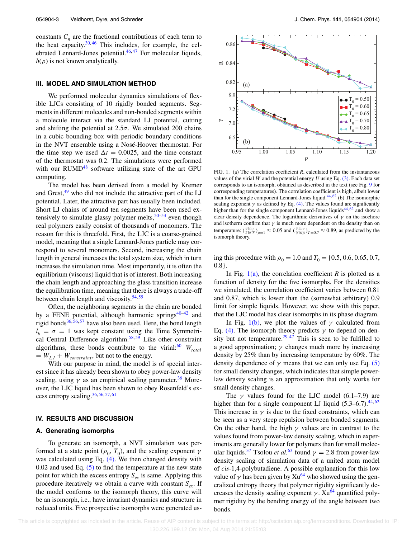constants  $C_n$  are the fractional contributions of each term to the heat capacity. $30,46$  $30,46$  This includes, for example, the celebrated Lennard-Jones potential. $46,47$  $46,47$  For molecular liquids,  $h(\rho)$  is not known analytically.

## <span id="page-2-0"></span>**III. MODEL AND SIMULATION METHOD**

We performed molecular dynamics simulations of flexible LJCs consisting of 10 rigidly bonded segments. Segments in different molecules and non-bonded segments within a molecule interact via the standard LJ potential, cutting and shifting the potential at  $2.5\sigma$ . We simulated 200 chains in a cubic bounding box with periodic boundary conditions in the NVT ensemble using a Nosé-Hoover thermostat. For the time step we used  $\Delta t = 0.0025$ , and the time constant of the thermostat was 0.2. The simulations were performed with our RUMD $48$  software utilizing state of the art GPU computing.

The model has been derived from a model by Kremer and Grest, $49$  who did not include the attractive part of the LJ potential. Later, the attractive part has usually been included. Short LJ chains of around ten segments have been used extensively to simulate glassy polymer melts,  $50-53$  $50-53$  even though real polymers easily consist of thousands of monomers. The reason for this is threefold. First, the LJC is a coarse-grained model, meaning that a single Lennard-Jones particle may correspond to several monomers. Second, increasing the chain length in general increases the total system size, which in turn increases the simulation time. Most importantly, it is often the equilibrium (viscous) liquid that is of interest. Both increasing the chain length and approaching the glass transition increase the equilibration time, meaning that there is always a trade-off between chain length and viscosity. $54, 55$  $54, 55$  $54, 55$ 

Often, the neighboring segments in the chain are bonded by a FENE potential, although harmonic springs<sup>[40](#page-7-31)[–42](#page-7-19)</sup> and rigid bonds<sup>[36,](#page-7-16) [56,](#page-7-32) [57](#page-7-33)</sup> have also been used. Here, the bond length  $l_b = \sigma = 1$  was kept constant using the Time Symmetri-cal Central Difference algorithm.<sup>[58,](#page-7-34) [59](#page-7-35)</sup> Like other constraint algorithms, these bonds contribute to the virial:<sup>[60](#page-7-36)</sup>  $W_{total}$  $= W_{LJ} + W_{constraint}$ , but not to the energy.

With our purpose in mind, the model is of special interest since it has already been shown to obey power-law density scaling, using  $\gamma$  as an empirical scaling parameter.<sup>[36](#page-7-16)</sup> Moreover, the LJC liquid has been shown to obey Rosenfeld's excess entropy scaling[.36,](#page-7-16) [56,](#page-7-32) [57,](#page-7-33) [61](#page-7-37)

#### <span id="page-2-1"></span>**IV. RESULTS AND DISCUSSION**

## **A. Generating isomorphs**

To generate an isomorph, a NVT simulation was performed at a state point ( $\rho_0$ ,  $T_0$ ), and the scaling exponent  $\gamma$ was calculated using Eq. [\(4\).](#page-1-1) We then changed density with  $0.02$  and used Eq.  $(5)$  to find the temperature at the new state point for which the excess entropy  $S_{ex}$  is same. Applying this procedure iteratively we obtain a curve with constant  $S_{ex}$ . If the model conforms to the isomorph theory, this curve will be an isomorph, i.e., have invariant dynamics and structure in reduced units. Five prospective isomorphs were generated us-

<span id="page-2-2"></span>

FIG. 1. (a) The correlation coefficient *R*, calculated from the instantaneous values of the virial *W* and the potential energy *U* using Eq.  $(3)$ . Each data set corresponds to an isomorph, obtained as described in the text (see Fig. [9](#page-6-5) for corresponding temperatures). The correlation coefficient is high, albeit lower than for the single component Lennard-Jones liquid. $44, 62$  $44, 62$  (b) The isomorphic scaling exponent  $\gamma$  as defined by Eq. [\(4\).](#page-1-1) The values found are significantly higher than for the single component Lennard-Jones liquids<sup>44, [62](#page-7-38)</sup> and show a clear density dependence. The logarithmic derivatives of  $\gamma$  on the isochore and isotherm confirm that  $\gamma$  is much more dependent on the density than on temperature:  $(\frac{\partial \ln \gamma}{\partial \ln T})_{\rho=1} \approx 0.05$  and  $(\frac{\partial \ln \gamma}{\partial \ln \rho})_{T=0.7} \approx 0.89$ , as predicted by the isomorph theory.

ing this procedure with  $\rho_0 = 1.0$  and  $T_0 = \{0.5, 0.6, 0.65, 0.7,$ 0.8}.

In Fig. [1\(a\),](#page-2-2) the correlation coefficient *R* is plotted as a function of density for the five isomorphs. For the densities we simulated, the correlation coefficient varies between 0.81 and 0.87, which is lower than the (somewhat arbitrary) 0.9 limit for simple liquids. However, we show with this paper, that the LJC model has clear isomorphs in its phase diagram.

In Fig. [1\(b\),](#page-2-2) we plot the values of  $\gamma$  calculated from Eq. [\(4\).](#page-1-1) The isomorph theory predicts  $\gamma$  to depend on den-sity but not temperature.<sup>[29,](#page-7-8) [47](#page-7-24)</sup> This is seen to be fulfilled to a good approximation; *γ* changes much more by increasing density by 25% than by increasing temperature by 60%. The density dependence of  $\gamma$  means that we can only use Eq. [\(5\)](#page-1-2) for small density changes, which indicates that simple powerlaw density scaling is an approximation that only works for small density changes.

The  $\gamma$  values found for the LJC model (6.1–7.9) are higher than for a single component LJ liquid  $(5.3-6.7)$ .<sup>[44,](#page-7-21)[62](#page-7-38)</sup> This increase in  $\gamma$  is due to the fixed constraints, which can be seen as a very steep repulsion between bonded segments. On the other hand, the high  $\gamma$  values are in contrast to the values found from power-law density scaling, which in experiments are generally lower for polymers than for small molec-ular liquids.<sup>[37](#page-7-17)</sup> Tsolou *et al.*<sup>[63](#page-7-39)</sup> found  $\gamma = 2.8$  from power-law density scaling of simulation data of a united atom model of *cis*-1,4-polybutadiene. A possible explanation for this low value of  $\gamma$  has been given by  $Xu^{64}$  who showed using the generalized entropy theory that polymer rigidity significantly decreases the density scaling exponent  $\gamma$ . Xu<sup>64</sup> quantified polymer rigidity by the bending energy of the angle between two bonds.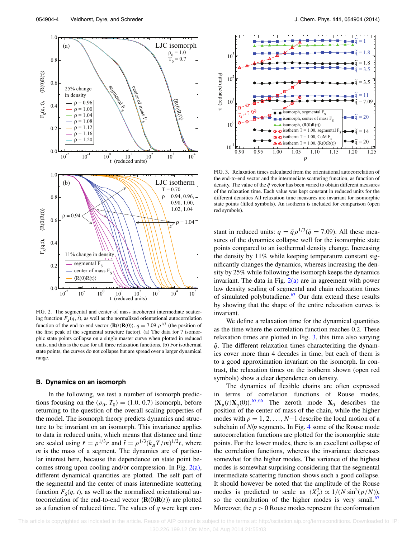<span id="page-3-1"></span>

FIG. 2. The segmental and center of mass incoherent intermediate scattering function  $F_S(q, \tilde{t})$ , as well as the normalized orientational autocorrelation function of the end-to-end vector  $\langle \mathbf{R}(t) \mathbf{R}(0) \rangle$ .  $q = 7.09 \rho^{1/3}$  (the position of the first peak of the segmental structure factor). (a) The data for 7 isomorphic state points collapse on a single master curve when plotted in reduced units, and this is the case for all three relaxation functions. (b) For isothermal state points, the curves do not collapse but are spread over a larger dynamical range.

#### <span id="page-3-0"></span>**B. Dynamics on an isomorph**

In the following, we test a number of isomorph predictions focusing on the  $(\rho_0, T_0) = (1.0, 0.7)$  isomorph, before returning to the question of the overall scaling properties of the model. The isomorph theory predicts dynamics and structure to be invariant on an isomorph. This invariance applies to data in reduced units, which means that distance and time are scaled using  $\tilde{r} = \rho^{1/3} r$  and  $\tilde{t} = \rho^{1/3} (k_B T/m)^{1/2} t$ , where *m* is the mass of a segment. The dynamics are of particular interest here, because the dependence on state point becomes strong upon cooling and/or compression. In Fig.  $2(a)$ , different dynamical quantities are plotted. The self part of the segmental and the center of mass intermediate scattering function  $F_S(q, t)$ , as well as the normalized orientational autocorrelation of the end-to-end vector  $\langle \mathbf{R}(0) \mathbf{R}(t) \rangle$  are plotted as a function of reduced time. The values of *q* were kept con-

<span id="page-3-2"></span>

FIG. 3. Relaxation times calculated from the orientational autocorrelation of the end-to-end vector and the intermediate scattering function, as function of density. The value of the  $\tilde{q}$  vector has been varied to obtain different measures of the relaxation time. Each value was kept constant in reduced units for the different densities All relaxation time measures are invariant for isomorphic state points (filled symbols). An isotherm is included for comparison (open red symbols).

stant in reduced units:  $q = \tilde{q} \rho^{1/3} (\tilde{q} = 7.09)$ . All these measures of the dynamics collapse well for the isomorphic state points compared to an isothermal density change. Increasing the density by 11% while keeping temperature constant significantly changes the dynamics, whereas increasing the density by 25% while following the isomorph keeps the dynamics invariant. The data in Fig.  $2(a)$  are in agreement with power law density scaling of segmental and chain relaxation times of simulated polybutadiene.<sup>[63](#page-7-39)</sup> Our data extend these results by showing that the shape of the entire relaxation curves is invariant.

We define a relaxation time for the dynamical quantities as the time where the correlation function reaches 0.2. These relaxation times are plotted in Fig. [3,](#page-3-2) this time also varying  $\tilde{q}$ . The different relaxation times characterizing the dynamics cover more than 4 decades in time, but each of them is to a good approximation invariant on the isomorph. In contrast, the relaxation times on the isotherm shown (open red symbols) show a clear dependence on density.

The dynamics of flexible chains are often expressed in terms of correlation functions of Rouse modes,  $\langle \mathbf{X}_p(t) \mathbf{X}_q(0) \rangle$ .<sup>[65,](#page-7-41) [66](#page-7-42)</sup> The zeroth mode  $\mathbf{X}_0$  describes the position of the center of mass of the chain, while the higher modes with  $p = 1, 2, ..., N-1$  describe the local motion of a subchain of *N*/*p* segments. In Fig. [4](#page-4-1) some of the Rouse mode autocorrelation functions are plotted for the isomorphic state points. For the lower modes, there is an excellent collapse of the correlation functions, whereas the invariance decreases somewhat for the higher modes. The variance of the highest modes is somewhat surprising considering that the segmental intermediate scattering function shows such a good collapse. It should however be noted that the amplitude of the Rouse modes is predicted to scale as  $\langle X_p^2 \rangle \propto 1/(N \sin^2(p/N))$ , so the contribution of the higher modes is very small. $67$ Moreover, the  $p > 0$  Rouse modes represent the conformation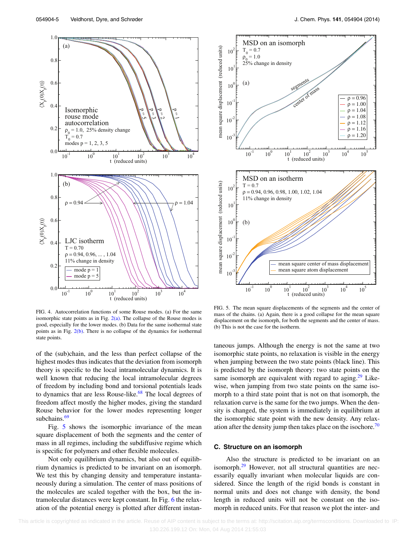<span id="page-4-1"></span>

FIG. 4. Autocorrelation functions of some Rouse modes. (a) For the same isomorphic state points as in Fig.  $2(a)$ . The collapse of the Rouse modes is good, especially for the lower modes. (b) Data for the same isothermal state points as in Fig.  $2(b)$ . There is no collapse of the dynamics for isothermal state points.

of the (sub)chain, and the less than perfect collapse of the highest modes thus indicates that the deviation from isomorph theory is specific to the local intramolecular dynamics. It is well known that reducing the local intramolecular degrees of freedom by including bond and torsional potentials leads to dynamics that are less Rouse-like.<sup>68</sup> The local degrees of freedom affect mostly the higher modes, giving the standard Rouse behavior for the lower modes representing longer subchains.<sup>[69](#page-7-45)</sup>

Fig. [5](#page-4-2) shows the isomorphic invariance of the mean square displacement of both the segments and the center of mass in all regimes, including the subdiffusive regime which is specific for polymers and other flexible molecules.

Not only equilibrium dynamics, but also out of equilibrium dynamics is predicted to be invariant on an isomorph. We test this by changing density and temperature instantaneously during a simulation. The center of mass positions of the molecules are scaled together with the box, but the intramolecular distances were kept constant. In Fig. [6](#page-5-1) the relaxation of the potential energy is plotted after different instan-

<span id="page-4-2"></span>

FIG. 5. The mean square displacements of the segments and the center of mass of the chains. (a) Again, there is a good collapse for the mean square displacement on the isomorph, for both the segments and the center of mass. (b) This is not the case for the isotherm.

taneous jumps. Although the energy is not the same at two isomorphic state points, no relaxation is visible in the energy when jumping between the two state points (black line). This is predicted by the isomorph theory: two state points on the same isomorph are equivalent with regard to aging.<sup>29</sup> Likewise, when jumping from two state points on the same isomorph to a third state point that is not on that isomorph, the relaxation curve is the same for the two jumps. When the density is changed, the system is immediately in equilibrium at the isomorphic state point with the new density. Any relax-ation after the density jump then takes place on the isochore.<sup>[70](#page-7-46)</sup>

## <span id="page-4-0"></span>**C. Structure on an isomorph**

Also the structure is predicted to be invariant on an isomorph. $29$  However, not all structural quantities are necessarily equally invariant when molecular liquids are considered. Since the length of the rigid bonds is constant in normal units and does not change with density, the bond length in reduced units will not be constant on the isomorph in reduced units. For that reason we plot the inter- and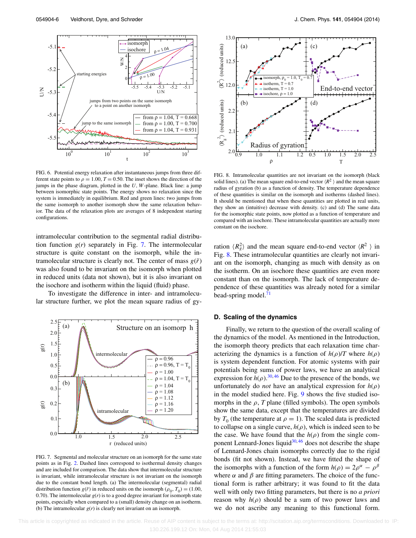<span id="page-5-1"></span>

FIG. 6. Potential energy relaxation after instantaneous jumps from three different state points to  $\rho = 1.00$ ,  $T = 0.50$ . The inset shows the direction of the jumps in the phase diagram, plotted in the *U*, *W*-plane. Black line: a jump between isomorphic state points. The energy shows no relaxation since the system is immediately in equilibrium. Red and green lines: two jumps from the same isomorph to another isomorph show the same relaxation behavior. The data of the relaxation plots are averages of 8 independent starting configurations.

intramolecular contribution to the segmental radial distribution function *g*(*r*) separately in Fig. [7.](#page-5-2) The intermolecular structure is quite constant on the isomorph, while the intramolecular structure is clearly not. The center of mass  $g(\tilde{r})$ was also found to be invariant on the isomorph when plotted in reduced units (data not shown), but it is also invariant on the isochore and isotherm within the liquid (fluid) phase.

To investigate the difference in inter- and intramolecular structure further, we plot the mean square radius of gy-

<span id="page-5-2"></span>

FIG. 7. Segmental and molecular structure on an isomorph for the same state points as in Fig. [2.](#page-3-1) Dashed lines correspond to isothermal density changes and are included for comparison. The data show that intermolecular structure is invariant, while intramolecular structure is not invariant on the isomorph due to the constant bond length. (a) The intermolecular (segmental) radial distribution function *g*( $\tilde{r}$ ) in reduced units on the isomorph ( $\rho_0$ ,  $T_0$ ) = (1.00, 0.70). The intermolecular  $g(r)$  is to a good degree invariant for isomorph state points, especially when compared to a (small) density change on an isotherm. (b) The intramolecular  $g(r)$  is clearly not invariant on an isomorph.

<span id="page-5-3"></span>

FIG. 8. Intramolecular quantities are not invariant on the isomorph (black solid lines). (a) The mean square end-to-end vector  $\langle R^2 \rangle$  and the mean square radius of gyration (b) as a function of density. The temperature dependence of these quantities is similar on the isomorph and isotherms (dashed lines). It should be mentioned that when these quantities are plotted in real units, they show an (intuitive) decrease with density. (c) and (d) The same data for the isomorphic state points, now plotted as a function of temperature and compared with an isochore. These intramolecular quantities are actually more constant on the isochore.

ration  $\langle R_g^2 \rangle$  and the mean square end-to-end vector  $\langle R^2 \rangle$  in Fig. [8.](#page-5-3) These intramolecular quantities are clearly not invariant on the isomorph, changing as much with density as on the isotherm. On an isochore these quantities are even more constant than on the isomorph. The lack of temperature dependence of these quantities was already noted for a similar bead-spring model.<sup>[71](#page-7-47)</sup>

#### <span id="page-5-0"></span>**D. Scaling of the dynamics**

Finally, we return to the question of the overall scaling of the dynamics of the model. As mentioned in the Introduction, the isomorph theory predicts that each relaxation time characterizing the dynamics is a function of  $h(\rho)/T$  where  $h(\rho)$ is system dependent function. For atomic systems with pair potentials being sums of power laws, we have an analytical expression for  $h(\rho)$ .<sup>30, [46](#page-7-23)</sup> Due to the presence of the bonds, we unfortunately do *not* have an analytical expression for  $h(\rho)$ in the model studied here. Fig. [9](#page-6-5) shows the five studied isomorphs in the  $\rho$ , *T* plane (filled symbols). The open symbols show the same data, except that the temperatures are divided by  $T_0$  (the temperature at  $\rho = 1$ ). The scaled data is predicted to collapse on a single curve,  $h(\rho)$ , which is indeed seen to be the case. We have found that the  $h(\rho)$  from the single com-ponent Lennard-Jones liquid<sup>30,[46](#page-7-23)</sup> does not describe the shape of Lennard-Jones chain isomorphs correctly due to the rigid bonds (fit not shown). Instead, we have fitted the shape of the isomorphs with a function of the form  $h(\rho) = 2\rho^{\alpha} - \rho^{\beta}$ where  $\alpha$  and  $\beta$  are fitting parameters. The choice of the functional form is rather arbitrary; it was found to fit the data well with only two fitting parameters, but there is no *a priori* reason why  $h(\rho)$  should be a sum of two power laws and we do not ascribe any meaning to this functional form.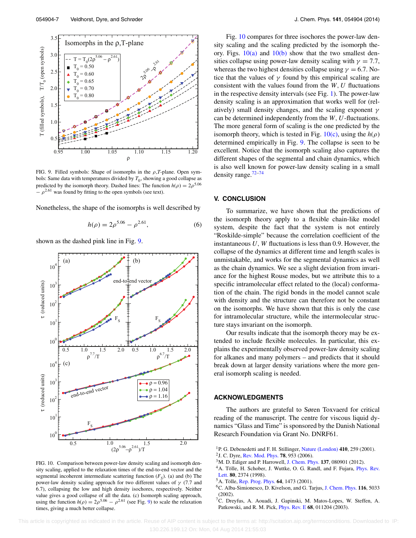<span id="page-6-5"></span>

FIG. 9. Filled symbols: Shape of isomorphs in the *ρ*,*T*-plane. Open symbols: Same data with temperatures divided by  $T_0$ , showing a good collapse as predicted by the isomorph theory. Dashed lines: The function  $h(\rho) = 2\rho^{5.06}$  $-\rho^{2.61}$  was found by fitting to the open symbols (see text).

Nonetheless, the shape of the isomorphs is well described by

$$
h(\rho) = 2\rho^{5.06} - \rho^{2.61},\tag{6}
$$

shown as the dashed pink line in Fig. [9.](#page-6-5)

<span id="page-6-6"></span>

FIG. 10. Comparison between power-law density scaling and isomorph density scaling, applied to the relaxation times of the end-to-end vector and the segmental incoherent intermediate scattering function  $(F<sub>s</sub>)$ . (a) and (b) The power-law density scaling approach for two different values of *γ* (7.7 and 6.7), collapsing the low and high density isochores, respectively. Neither value gives a good collapse of all the data. (c) Isomorph scaling approach, using the function  $h(\rho) = 2\rho^{5.06} - \rho^{2.61}$  (see Fig. [9\)](#page-6-5) to scale the relaxation times, giving a much better collapse.

Fig. [10](#page-6-6) compares for three isochores the power-law density scaling and the scaling predicted by the isomorph theory. Figs.  $10(a)$  and  $10(b)$  show that the two smallest densities collapse using power-law density scaling with  $\gamma = 7.7$ , whereas the two highest densities collapse using  $\gamma = 6.7$ . Notice that the values of  $\gamma$  found by this empirical scaling are consistent with the values found from the  $W, U$  fluctuations in the respective density intervals (see Fig. [1\)](#page-2-2). The power-law density scaling is an approximation that works well for (relatively) small density changes, and the scaling exponent *γ* can be determined independently from the *W,U*-fluctuations. The more general form of scaling is the one predicted by the isomorph theory, which is tested in Fig.  $10(c)$ , using the  $h(\rho)$ determined empirically in Fig. [9.](#page-6-5) The collapse is seen to be excellent. Notice that the isomorph scaling also captures the different shapes of the segmental and chain dynamics, which is also well known for power-law density scaling in a small density range[.72](#page-7-48)[–74](#page-7-49)

#### **V. CONCLUSION**

To summarize, we have shown that the predictions of the isomorph theory apply to a flexible chain-like model system, despite the fact that the system is not entirely "Roskilde-simple" because the correlation coefficient of the instantaneous  $U$ ,  $W$  fluctuations is less than 0.9. However, the collapse of the dynamics at different time and length scales is unmistakable, and works for the segmental dynamics as well as the chain dynamics. We see a slight deviation from invariance for the highest Rouse modes, but we attribute this to a specific intramolecular effect related to the (local) conformation of the chain. The rigid bonds in the model cannot scale with density and the structure can therefore not be constant on the isomorphs. We have shown that this is only the case for intramolecular structure, while the intermolecular structure stays invariant on the isomorph.

Our results indicate that the isomorph theory may be extended to include flexible molecules. In particular, this explains the experimentally observed power-law density scaling for alkanes and many polymers – and predicts that it should break down at larger density variations where the more general isomorph scaling is needed.

## **ACKNOWLEDGMENTS**

The authors are grateful to Søren Toxvaerd for critical reading of the manuscript. The centre for viscous liquid dynamics "Glass and Time" is sponsored by the Danish National Research Foundation via Grant No. DNRF61.

- <span id="page-6-0"></span>1P. G. Debenedetti and F. H. Stillinger, [Nature \(London\)](http://dx.doi.org/10.1038/35065704) **410**, 259 (2001).
- 2J. C. Dyre, [Rev. Mod. Phys.](http://dx.doi.org/10.1103/RevModPhys.78.953) **78**, 953 (2006).
- <span id="page-6-2"></span><span id="page-6-1"></span>3M. D. Ediger and P. Harrowell, [J. Chem. Phys.](http://dx.doi.org/10.1063/1.4747326) **137**, 080901 (2012).
- <sup>4</sup>A. Tölle, H. Schober, J. Wuttke, O. G. Randl, and F. Fujara, *[Phys. Rev.](http://dx.doi.org/10.1103/PhysRevLett.80.2374)* [Lett.](http://dx.doi.org/10.1103/PhysRevLett.80.2374) **80**, 2374 (1998).
- <span id="page-6-4"></span><span id="page-6-3"></span>5A. Tölle, [Rep. Prog. Phys.](http://dx.doi.org/10.1088/0034-4885/64/11/203) **64**, 1473 (2001).
- 6C. Alba-Simionesco, D. Kivelson, and G. Tarjus, [J. Chem. Phys.](http://dx.doi.org/10.1063/1.1452724) **116**, 5033 (2002).
- 7C. Dreyfus, A. Aouadi, J. Gapinski, M. Matos-Lopes, W. Steffen, A. Patkowski, and R. M. Pick, [Phys. Rev. E](http://dx.doi.org/10.1103/PhysRevE.68.011204) **68**, 011204 (2003).